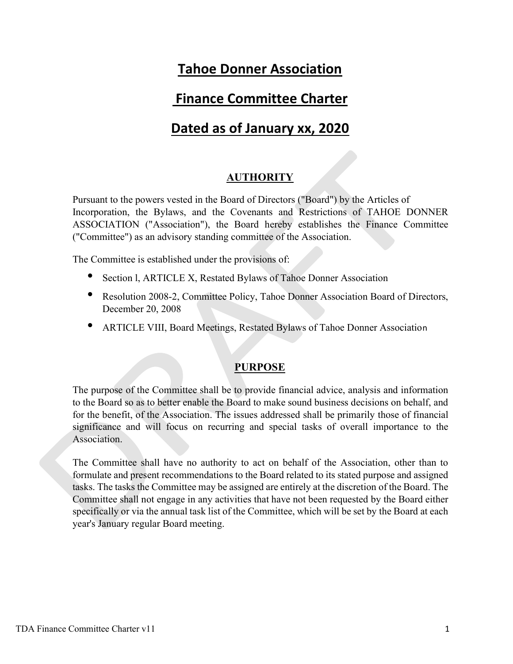# Tahoe Donner Association

## Finance Committee Charter

# Dated as of January xx, 2020

## **AUTHORITY**

Pursuant to the powers vested in the Board of Directors ("Board") by the Articles of Incorporation, the Bylaws, and the Covenants and Restrictions of TAHOE DONNER ASSOCIATION ("Association"), the Board hereby establishes the Finance Committee ("Committee") as an advisory standing committee of the Association.

The Committee is established under the provisions of:

- Section l, ARTICLE X, Restated Bylaws of Tahoe Donner Association
- Resolution 2008-2, Committee Policy, Tahoe Donner Association Board of Directors, December 20, 2008
- ARTICLE VIII, Board Meetings, Restated Bylaws of Tahoe Donner Associatio<sup>n</sup>

#### **PURPOSE**

The purpose of the Committee shall be to provide financial advice, analysis and information to the Board so as to better enable the Board to make sound business decisions on behalf, and for the benefit, of the Association. The issues addressed shall be primarily those of financial significance and will focus on recurring and special tasks of overall importance to the Association.

The Committee shall have no authority to act on behalf of the Association, other than to formulate and present recommendations to the Board related to its stated purpose and assigned tasks. The tasks the Committee may be assigned are entirely at the discretion of the Board. The Committee shall not engage in any activities that have not been requested by the Board either specifically or via the annual task list of the Committee, which will be set by the Board at each year's January regular Board meeting.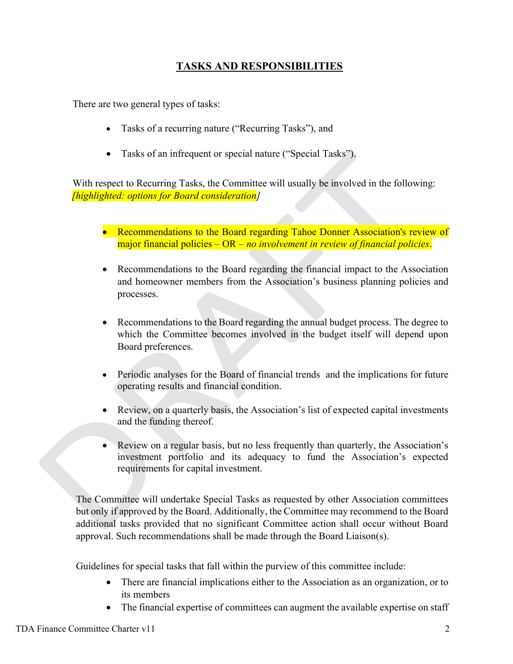## TASKS AND RESPONSIBILITIES

There are two general types of tasks:

- Tasks of a recurring nature ("Recurring Tasks"), and
- Tasks of an infrequent or special nature ("Special Tasks").

With respect to Recurring Tasks, the Committee will usually be involved in the following: [highlighted: options for Board consideration]

- Recommendations to the Board regarding Tahoe Donner Association's review of major financial policies  $-OR - no$  involvement in review of financial policies.
- Recommendations to the Board regarding the financial impact to the Association and homeowner members from the Association's business planning policies and processes.
- Recommendations to the Board regarding the annual budget process. The degree to which the Committee becomes involved in the budget itself will depend upon Board preferences.
- Periodic analyses for the Board of financial trends and the implications for future operating results and financial condition.
- Review, on a quarterly basis, the Association's list of expected capital investments and the funding thereof.
- Review on a regular basis, but no less frequently than quarterly, the Association's investment portfolio and its adequacy to fund the Association's expected requirements for capital investment.

The Committee will undertake Special Tasks as requested by other Association committees but only if approved by the Board. Additionally, the Committee may recommend to the Board additional tasks provided that no significant Committee action shall occur without Board approval. Such recommendations shall be made through the Board Liaison(s).

Guidelines for special tasks that fall within the purview of this committee include:

- There are financial implications either to the Association as an organization, or to its members
- The financial expertise of committees can augment the available expertise on staff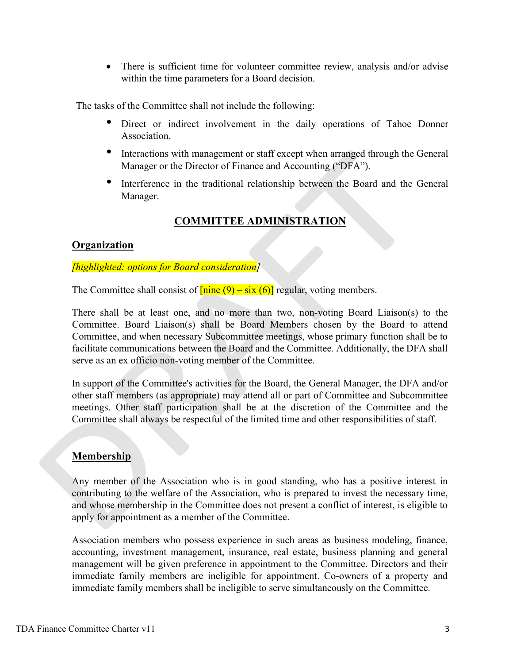• There is sufficient time for volunteer committee review, analysis and/or advise within the time parameters for a Board decision.

The tasks of the Committee shall not include the following:

- Direct or indirect involvement in the daily operations of Tahoe Donner Association.
- Interactions with management or staff except when arranged through the General Manager or the Director of Finance and Accounting ("DFA").
- Interference in the traditional relationship between the Board and the General Manager.

## COMMITTEE ADMINISTRATION

#### **Organization**

#### [highlighted: options for Board consideration]

The Committee shall consist of  $\frac{\text{func}(9) - \text{six}(6)}{\text{regular}}$ , voting members.

There shall be at least one, and no more than two, non-voting Board Liaison(s) to the Committee. Board Liaison(s) shall be Board Members chosen by the Board to attend Committee, and when necessary Subcommittee meetings, whose primary function shall be to facilitate communications between the Board and the Committee. Additionally, the DFA shall serve as an ex officio non-voting member of the Committee.

In support of the Committee's activities for the Board, the General Manager, the DFA and/or other staff members (as appropriate) may attend all or part of Committee and Subcommittee meetings. Other staff participation shall be at the discretion of the Committee and the Committee shall always be respectful of the limited time and other responsibilities of staff.

## Membership

Any member of the Association who is in good standing, who has a positive interest in contributing to the welfare of the Association, who is prepared to invest the necessary time, and whose membership in the Committee does not present a conflict of interest, is eligible to apply for appointment as a member of the Committee.

Association members who possess experience in such areas as business modeling, finance, accounting, investment management, insurance, real estate, business planning and general management will be given preference in appointment to the Committee. Directors and their immediate family members are ineligible for appointment. Co-owners of a property and immediate family members shall be ineligible to serve simultaneously on the Committee.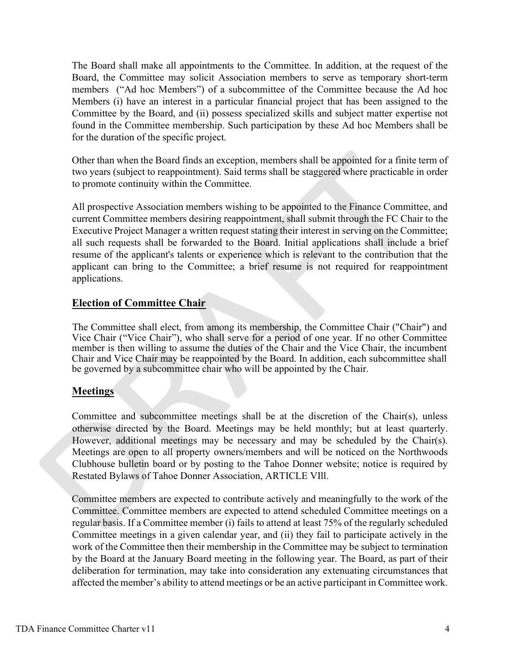The Board shall make all appointments to the Committee. In addition, at the request of the Board, the Committee may solicit Association members to serve as temporary short-term members ("Ad hoc Members") of a subcommittee of the Committee because the Ad hoc Members (i) have an interest in a particular financial project that has been assigned to the Committee by the Board, and (ii) possess specialized skills and subject matter expertise not found in the Committee membership. Such participation by these Ad hoc Members shall be for the duration of the specific project.

Other than when the Board finds an exception, members shall be appointed for a finite term of two years (subject to reappointment). Said terms shall be staggered where practicable in order to promote continuity within the Committee.

All prospective Association members wishing to be appointed to the Finance Committee, and current Committee members desiring reappointment, shall submit through the FC Chair to the Executive Project Manager a written request stating their interest in serving on the Committee; all such requests shall be forwarded to the Board. Initial applications shall include a brief resume of the applicant's talents or experience which is relevant to the contribution that the applicant can bring to the Committee; a brief resume is not required for reappointment applications.

## Election of Committee Chair

The Committee shall elect, from among its membership, the Committee Chair ("Chair") and Vice Chair ("Vice Chair"), who shall serve for a period of one year. If no other Committee member is then willing to assume the duties of the Chair and the Vice Chair, the incumbent Chair and Vice Chair may be reappointed by the Board. In addition, each subcommittee shall be governed by a subcommittee chair who will be appointed by the Chair.

## **Meetings**

Committee and subcommittee meetings shall be at the discretion of the Chair(s), unless otherwise directed by the Board. Meetings may be held monthly; but at least quarterly. However, additional meetings may be necessary and may be scheduled by the Chair(s). Meetings are open to all property owners/members and will be noticed on the Northwoods Clubhouse bulletin board or by posting to the Tahoe Donner website; notice is required by Restated Bylaws of Tahoe Donner Association, ARTICLE VIll.

Committee members are expected to contribute actively and meaningfully to the work of the Committee. Committee members are expected to attend scheduled Committee meetings on a regular basis. If a Committee member (i) fails to attend at least 75% of the regularly scheduled Committee meetings in a given calendar year, and (ii) they fail to participate actively in the work of the Committee then their membership in the Committee may be subject to termination by the Board at the January Board meeting in the following year. The Board, as part of their deliberation for termination, may take into consideration any extenuating circumstances that affected the member's ability to attend meetings or be an active participant in Committee work.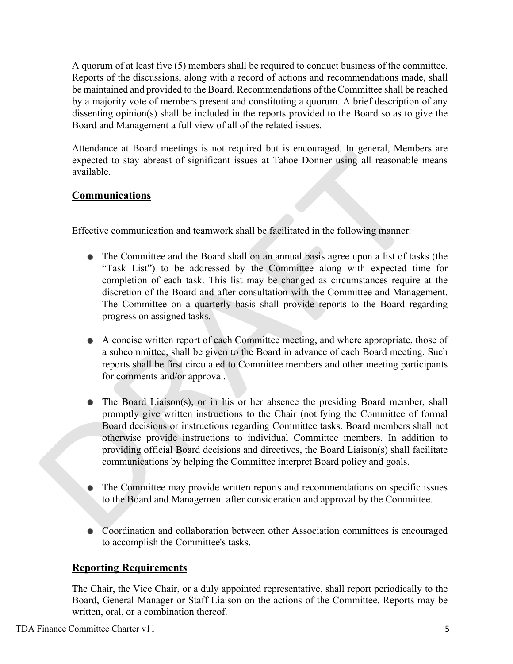A quorum of at least five (5) members shall be required to conduct business of the committee. Reports of the discussions, along with a record of actions and recommendations made, shall be maintained and provided to the Board. Recommendations of the Committee shall be reached by a majority vote of members present and constituting a quorum. A brief description of any dissenting opinion(s) shall be included in the reports provided to the Board so as to give the Board and Management a full view of all of the related issues.

Attendance at Board meetings is not required but is encouraged. In general, Members are expected to stay abreast of significant issues at Tahoe Donner using all reasonable means available.

## **Communications**

Effective communication and teamwork shall be facilitated in the following manner:

- The Committee and the Board shall on an annual basis agree upon a list of tasks (the "Task List") to be addressed by the Committee along with expected time for completion of each task. This list may be changed as circumstances require at the discretion of the Board and after consultation with the Committee and Management. The Committee on a quarterly basis shall provide reports to the Board regarding progress on assigned tasks.
- A concise written report of each Committee meeting, and where appropriate, those of a subcommittee, shall be given to the Board in advance of each Board meeting. Such reports shall be first circulated to Committee members and other meeting participants for comments and/or approval.
- The Board Liaison(s), or in his or her absence the presiding Board member, shall promptly give written instructions to the Chair (notifying the Committee of formal Board decisions or instructions regarding Committee tasks. Board members shall not otherwise provide instructions to individual Committee members. In addition to providing official Board decisions and directives, the Board Liaison(s) shall facilitate communications by helping the Committee interpret Board policy and goals.
- The Committee may provide written reports and recommendations on specific issues to the Board and Management after consideration and approval by the Committee.
- $\bullet$ Coordination and collaboration between other Association committees is encouraged to accomplish the Committee's tasks.

## Reporting Requirements

The Chair, the Vice Chair, or a duly appointed representative, shall report periodically to the Board, General Manager or Staff Liaison on the actions of the Committee. Reports may be written, oral, or a combination thereof.